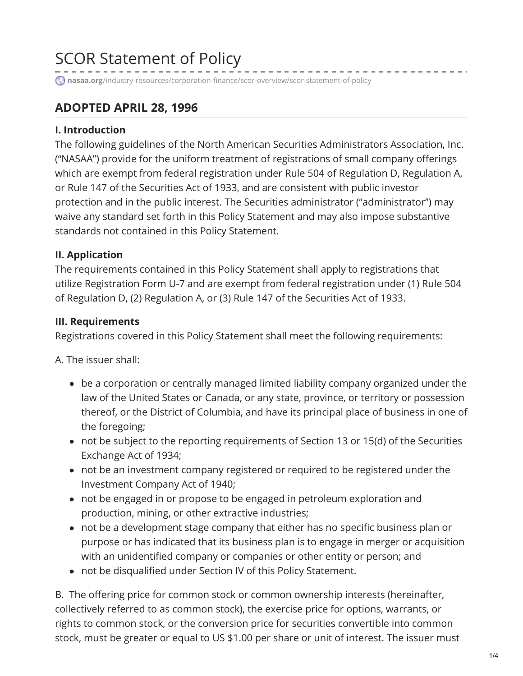# SCOR Statement of Policy

**nasaa.org**[/industry-resources/corporation-finance/scor-overview/scor-statement-of-policy](http://www.nasaa.org/industry-resources/corporation-finance/scor-overview/scor-statement-of-policy/)

## **ADOPTED APRIL 28, 1996**

#### **I. Introduction**

The following guidelines of the North American Securities Administrators Association, Inc. ("NASAA") provide for the uniform treatment of registrations of small company offerings which are exempt from federal registration under Rule 504 of Regulation D, Regulation A, or Rule 147 of the Securities Act of 1933, and are consistent with public investor protection and in the public interest. The Securities administrator ("administrator") may waive any standard set forth in this Policy Statement and may also impose substantive standards not contained in this Policy Statement.

#### **II. Application**

The requirements contained in this Policy Statement shall apply to registrations that utilize Registration Form U-7 and are exempt from federal registration under (1) Rule 504 of Regulation D, (2) Regulation A, or (3) Rule 147 of the Securities Act of 1933.

#### **III. Requirements**

Registrations covered in this Policy Statement shall meet the following requirements:

A. The issuer shall:

- be a corporation or centrally managed limited liability company organized under the law of the United States or Canada, or any state, province, or territory or possession thereof, or the District of Columbia, and have its principal place of business in one of the foregoing;
- not be subject to the reporting requirements of Section 13 or 15(d) of the Securities Exchange Act of 1934;
- not be an investment company registered or required to be registered under the Investment Company Act of 1940;
- not be engaged in or propose to be engaged in petroleum exploration and production, mining, or other extractive industries;
- not be a development stage company that either has no specific business plan or purpose or has indicated that its business plan is to engage in merger or acquisition with an unidentified company or companies or other entity or person; and
- not be disqualified under Section IV of this Policy Statement.

B. The offering price for common stock or common ownership interests (hereinafter, collectively referred to as common stock), the exercise price for options, warrants, or rights to common stock, or the conversion price for securities convertible into common stock, must be greater or equal to US \$1.00 per share or unit of interest. The issuer must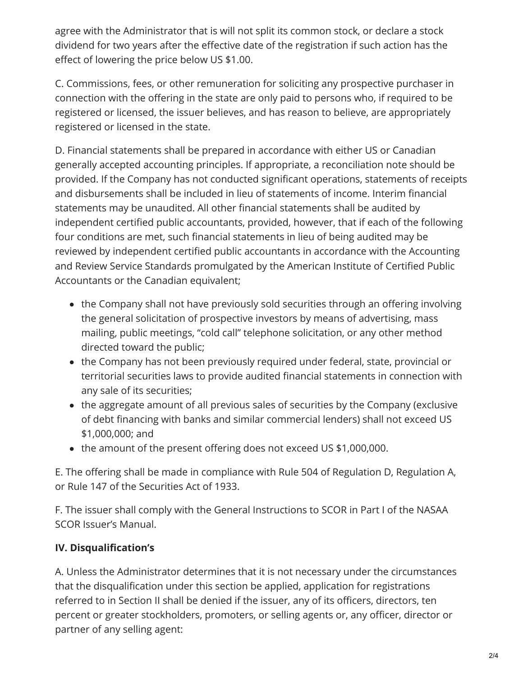agree with the Administrator that is will not split its common stock, or declare a stock dividend for two years after the effective date of the registration if such action has the effect of lowering the price below US \$1.00.

C. Commissions, fees, or other remuneration for soliciting any prospective purchaser in connection with the offering in the state are only paid to persons who, if required to be registered or licensed, the issuer believes, and has reason to believe, are appropriately registered or licensed in the state.

D. Financial statements shall be prepared in accordance with either US or Canadian generally accepted accounting principles. If appropriate, a reconciliation note should be provided. If the Company has not conducted significant operations, statements of receipts and disbursements shall be included in lieu of statements of income. Interim financial statements may be unaudited. All other financial statements shall be audited by independent certified public accountants, provided, however, that if each of the following four conditions are met, such financial statements in lieu of being audited may be reviewed by independent certified public accountants in accordance with the Accounting and Review Service Standards promulgated by the American Institute of Certified Public Accountants or the Canadian equivalent;

- the Company shall not have previously sold securities through an offering involving the general solicitation of prospective investors by means of advertising, mass mailing, public meetings, "cold call" telephone solicitation, or any other method directed toward the public;
- the Company has not been previously required under federal, state, provincial or territorial securities laws to provide audited financial statements in connection with any sale of its securities;
- the aggregate amount of all previous sales of securities by the Company (exclusive of debt financing with banks and similar commercial lenders) shall not exceed US \$1,000,000; and
- the amount of the present offering does not exceed US \$1,000,000.

E. The offering shall be made in compliance with Rule 504 of Regulation D, Regulation A, or Rule 147 of the Securities Act of 1933.

F. The issuer shall comply with the General Instructions to SCOR in Part I of the NASAA SCOR Issuer's Manual.

### **IV. Disqualification's**

A. Unless the Administrator determines that it is not necessary under the circumstances that the disqualification under this section be applied, application for registrations referred to in Section II shall be denied if the issuer, any of its officers, directors, ten percent or greater stockholders, promoters, or selling agents or, any officer, director or partner of any selling agent: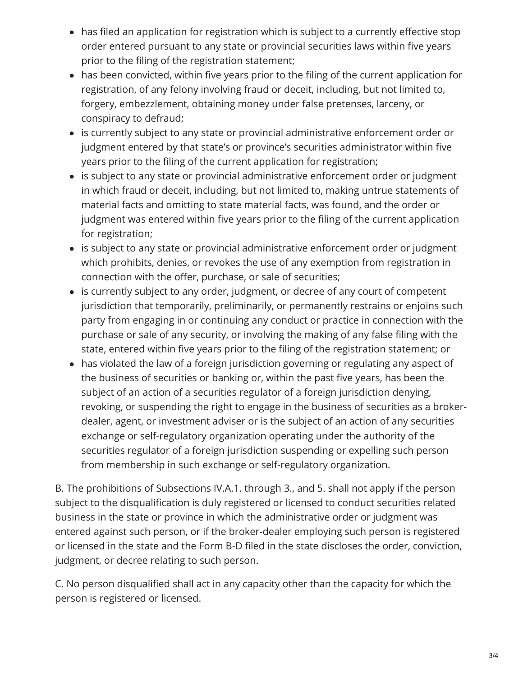- has filed an application for registration which is subject to a currently effective stop order entered pursuant to any state or provincial securities laws within five years prior to the filing of the registration statement;
- has been convicted, within five years prior to the filing of the current application for registration, of any felony involving fraud or deceit, including, but not limited to, forgery, embezzlement, obtaining money under false pretenses, larceny, or conspiracy to defraud;
- is currently subject to any state or provincial administrative enforcement order or judgment entered by that state's or province's securities administrator within five years prior to the filing of the current application for registration;
- is subject to any state or provincial administrative enforcement order or judgment in which fraud or deceit, including, but not limited to, making untrue statements of material facts and omitting to state material facts, was found, and the order or judgment was entered within five years prior to the filing of the current application for registration;
- is subject to any state or provincial administrative enforcement order or judgment which prohibits, denies, or revokes the use of any exemption from registration in connection with the offer, purchase, or sale of securities;
- is currently subject to any order, judgment, or decree of any court of competent jurisdiction that temporarily, preliminarily, or permanently restrains or enjoins such party from engaging in or continuing any conduct or practice in connection with the purchase or sale of any security, or involving the making of any false filing with the state, entered within five years prior to the filing of the registration statement; or
- has violated the law of a foreign jurisdiction governing or regulating any aspect of the business of securities or banking or, within the past five years, has been the subject of an action of a securities regulator of a foreign jurisdiction denying, revoking, or suspending the right to engage in the business of securities as a brokerdealer, agent, or investment adviser or is the subject of an action of any securities exchange or self-regulatory organization operating under the authority of the securities regulator of a foreign jurisdiction suspending or expelling such person from membership in such exchange or self-regulatory organization.

B. The prohibitions of Subsections IV.A.1. through 3., and 5. shall not apply if the person subject to the disqualification is duly registered or licensed to conduct securities related business in the state or province in which the administrative order or judgment was entered against such person, or if the broker-dealer employing such person is registered or licensed in the state and the Form B-D filed in the state discloses the order, conviction, judgment, or decree relating to such person.

C. No person disqualified shall act in any capacity other than the capacity for which the person is registered or licensed.